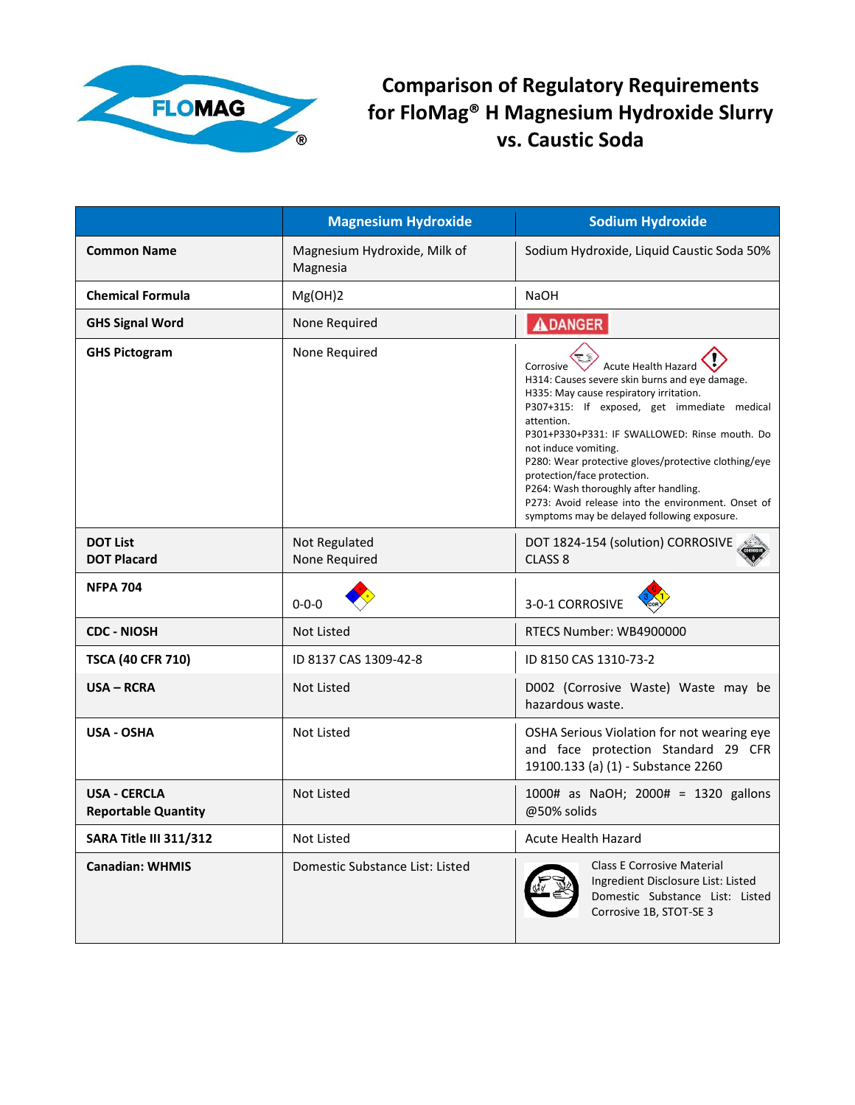

**Comparison of Regulatory Requirements for FloMag® H Magnesium Hydroxide Slurry vs. Caustic Soda**

|                                                   | <b>Magnesium Hydroxide</b>               | <b>Sodium Hydroxide</b>                                                                                                                                                                                                                                                                                                                                                                                                                                                                                         |
|---------------------------------------------------|------------------------------------------|-----------------------------------------------------------------------------------------------------------------------------------------------------------------------------------------------------------------------------------------------------------------------------------------------------------------------------------------------------------------------------------------------------------------------------------------------------------------------------------------------------------------|
| <b>Common Name</b>                                | Magnesium Hydroxide, Milk of<br>Magnesia | Sodium Hydroxide, Liquid Caustic Soda 50%                                                                                                                                                                                                                                                                                                                                                                                                                                                                       |
| <b>Chemical Formula</b>                           | Mg(OH)2                                  | <b>NaOH</b>                                                                                                                                                                                                                                                                                                                                                                                                                                                                                                     |
| <b>GHS Signal Word</b>                            | None Required                            | <b>ADANGER</b>                                                                                                                                                                                                                                                                                                                                                                                                                                                                                                  |
| <b>GHS Pictogram</b>                              | None Required                            | Corrosive<br><b>Acute Health Hazard</b><br>H314: Causes severe skin burns and eye damage.<br>H335: May cause respiratory irritation.<br>P307+315: If exposed, get immediate medical<br>attention.<br>P301+P330+P331: IF SWALLOWED: Rinse mouth. Do<br>not induce vomiting.<br>P280: Wear protective gloves/protective clothing/eye<br>protection/face protection.<br>P264: Wash thoroughly after handling.<br>P273: Avoid release into the environment. Onset of<br>symptoms may be delayed following exposure. |
| <b>DOT List</b><br><b>DOT Placard</b>             | Not Regulated<br>None Required           | DOT 1824-154 (solution) CORROSIVE<br>CLASS <sub>8</sub>                                                                                                                                                                                                                                                                                                                                                                                                                                                         |
| <b>NFPA 704</b>                                   | $0 - 0 - 0$                              | 3-0-1 CORROSIVE                                                                                                                                                                                                                                                                                                                                                                                                                                                                                                 |
| <b>CDC - NIOSH</b>                                | Not Listed                               | RTECS Number: WB4900000                                                                                                                                                                                                                                                                                                                                                                                                                                                                                         |
| <b>TSCA (40 CFR 710)</b>                          | ID 8137 CAS 1309-42-8                    | ID 8150 CAS 1310-73-2                                                                                                                                                                                                                                                                                                                                                                                                                                                                                           |
| <b>USA - RCRA</b>                                 | <b>Not Listed</b>                        | D002 (Corrosive Waste) Waste may be<br>hazardous waste.                                                                                                                                                                                                                                                                                                                                                                                                                                                         |
| <b>USA - OSHA</b>                                 | <b>Not Listed</b>                        | OSHA Serious Violation for not wearing eye<br>and face protection Standard 29 CFR<br>19100.133 (a) (1) - Substance 2260                                                                                                                                                                                                                                                                                                                                                                                         |
| <b>USA - CERCLA</b><br><b>Reportable Quantity</b> | Not Listed                               | 1000# as NaOH; 2000# = 1320 gallons<br>@50% solids                                                                                                                                                                                                                                                                                                                                                                                                                                                              |
| <b>SARA Title III 311/312</b>                     | Not Listed                               | Acute Health Hazard                                                                                                                                                                                                                                                                                                                                                                                                                                                                                             |
| <b>Canadian: WHMIS</b>                            | Domestic Substance List: Listed          | <b>Class E Corrosive Material</b><br>Ingredient Disclosure List: Listed<br>Domestic Substance List: Listed<br>Corrosive 1B, STOT-SE 3                                                                                                                                                                                                                                                                                                                                                                           |